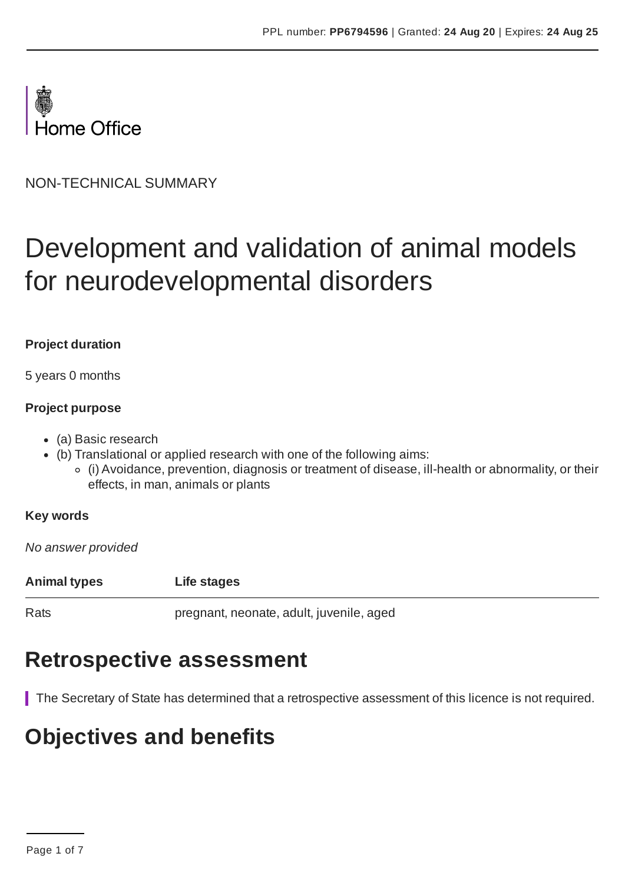

NON-TECHNICAL SUMMARY

# Development and validation of animal models for neurodevelopmental disorders

### **Project duration**

5 years 0 months

### **Project purpose**

- (a) Basic research
- (b) Translational or applied research with one of the following aims:
	- (i) Avoidance, prevention, diagnosis or treatment of disease, ill-health or abnormality, or their effects, in man, animals or plants

## **Key words**

*No answer provided*

**Animal types Life stages**

Rats pregnant, neonate, adult, juvenile, aged

## **Retrospective assessment**

The Secretary of State has determined that a retrospective assessment of this licence is not required.

## **Objectives and benefits**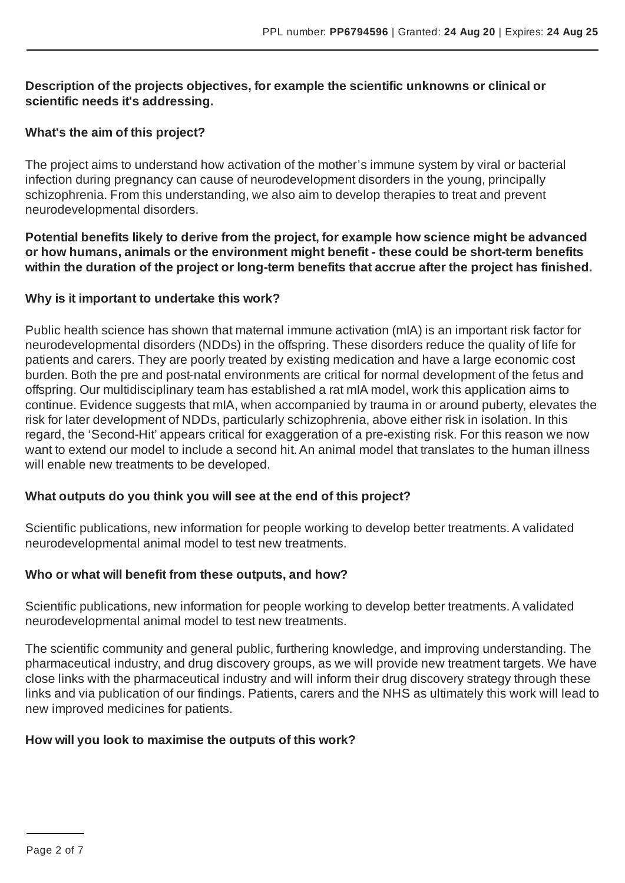### **Description of the projects objectives, for example the scientific unknowns or clinical or scientific needs it's addressing.**

## **What's the aim of this project?**

The project aims to understand how activation of the mother's immune system by viral or bacterial infection during pregnancy can cause of neurodevelopment disorders in the young, principally schizophrenia. From this understanding, we also aim to develop therapies to treat and prevent neurodevelopmental disorders.

**Potential benefits likely to derive from the project, for example how science might be advanced or how humans, animals or the environment might benefit - these could be short-term benefits within the duration of the project or long-term benefits that accrue after the project has finished.**

### **Why is it important to undertake this work?**

Public health science has shown that maternal immune activation (mIA) is an important risk factor for neurodevelopmental disorders (NDDs) in the offspring. These disorders reduce the quality of life for patients and carers. They are poorly treated by existing medication and have a large economic cost burden. Both the pre and post-natal environments are critical for normal development of the fetus and offspring. Our multidisciplinary team has established a rat mIA model, work this application aims to continue. Evidence suggests that mIA, when accompanied by trauma in or around puberty, elevates the risk for later development of NDDs, particularly schizophrenia, above either risk in isolation. In this regard, the 'Second-Hit' appears critical for exaggeration of a pre-existing risk. For this reason we now want to extend our model to include a second hit. An animal model that translates to the human illness will enable new treatments to be developed.

## **What outputs do you think you will see at the end of this project?**

Scientific publications, new information for people working to develop better treatments. A validated neurodevelopmental animal model to test new treatments.

## **Who or what will benefit from these outputs, and how?**

Scientific publications, new information for people working to develop better treatments. A validated neurodevelopmental animal model to test new treatments.

The scientific community and general public, furthering knowledge, and improving understanding. The pharmaceutical industry, and drug discovery groups, as we will provide new treatment targets. We have close links with the pharmaceutical industry and will inform their drug discovery strategy through these links and via publication of our findings. Patients, carers and the NHS as ultimately this work will lead to new improved medicines for patients.

## **How will you look to maximise the outputs of this work?**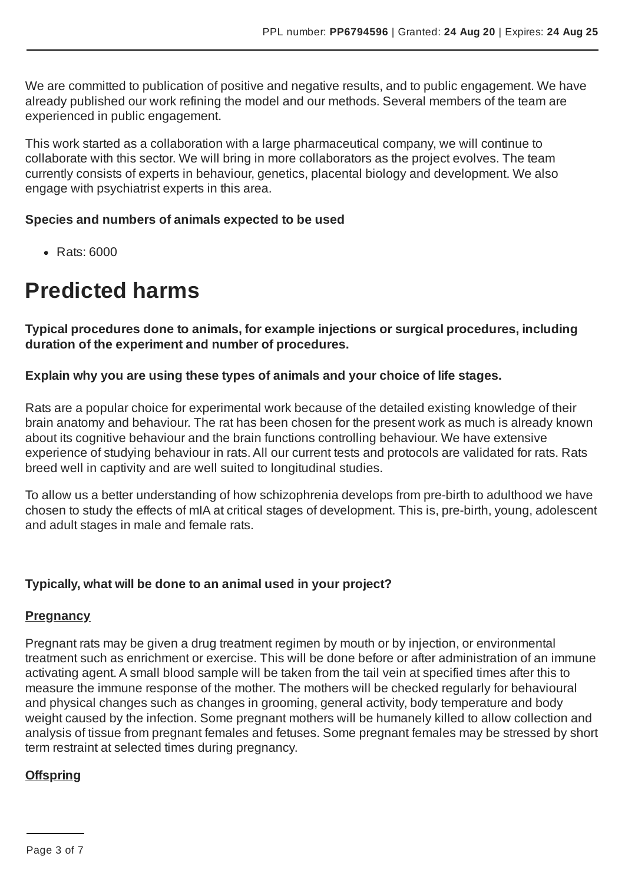We are committed to publication of positive and negative results, and to public engagement. We have already published our work refining the model and our methods. Several members of the team are experienced in public engagement.

This work started as a collaboration with a large pharmaceutical company, we will continue to collaborate with this sector. We will bring in more collaborators as the project evolves. The team currently consists of experts in behaviour, genetics, placental biology and development. We also engage with psychiatrist experts in this area.

### **Species and numbers of animals expected to be used**

• Rats: 6000

## **Predicted harms**

**Typical procedures done to animals, for example injections or surgical procedures, including duration of the experiment and number of procedures.**

## **Explain why you are using these types of animals and your choice of life stages.**

Rats are a popular choice for experimental work because of the detailed existing knowledge of their brain anatomy and behaviour. The rat has been chosen for the present work as much is already known about its cognitive behaviour and the brain functions controlling behaviour. We have extensive experience of studying behaviour in rats.All our current tests and protocols are validated for rats. Rats breed well in captivity and are well suited to longitudinal studies.

To allow us a better understanding of how schizophrenia develops from pre-birth to adulthood we have chosen to study the effects of mIA at critical stages of development. This is, pre-birth, young, adolescent and adult stages in male and female rats.

## **Typically, what will be done to an animal used in your project?**

## **Pregnancy**

Pregnant rats may be given a drug treatment regimen by mouth or by injection, or environmental treatment such as enrichment or exercise. This will be done before or after administration of an immune activating agent.A small blood sample will be taken from the tail vein at specified times after this to measure the immune response of the mother. The mothers will be checked regularly for behavioural and physical changes such as changes in grooming, general activity, body temperature and body weight caused by the infection. Some pregnant mothers will be humanely killed to allow collection and analysis of tissue from pregnant females and fetuses. Some pregnant females may be stressed by short term restraint at selected times during pregnancy.

## **Offspring**

Page 3 of 7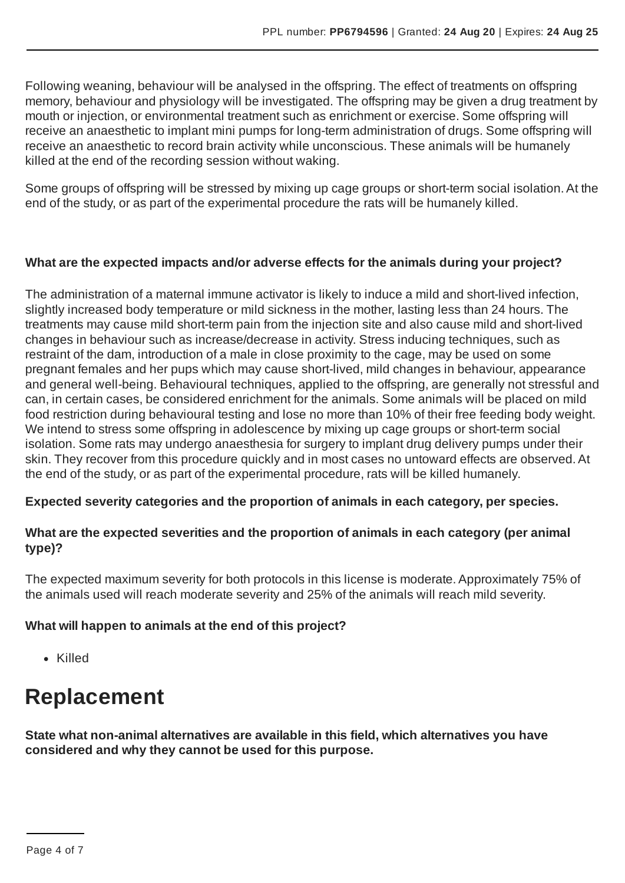Following weaning, behaviour will be analysed in the offspring. The effect of treatments on offspring memory, behaviour and physiology will be investigated. The offspring may be given a drug treatment by mouth or injection, or environmental treatment such as enrichment or exercise. Some offspring will receive an anaesthetic to implant mini pumps for long-term administration of drugs. Some offspring will receive an anaesthetic to record brain activity while unconscious. These animals will be humanely killed at the end of the recording session without waking.

Some groups of offspring will be stressed by mixing up cage groups or short-term social isolation.At the end of the study, or as part of the experimental procedure the rats will be humanely killed.

## **What are the expected impacts and/or adverse effects for the animals during your project?**

The administration of a maternal immune activator is likely to induce a mild and short-lived infection, slightly increased body temperature or mild sickness in the mother, lasting less than 24 hours. The treatments may cause mild short-term pain from the injection site and also cause mild and short-lived changes in behaviour such as increase/decrease in activity. Stress inducing techniques, such as restraint of the dam, introduction of a male in close proximity to the cage, may be used on some pregnant females and her pups which may cause short-lived, mild changes in behaviour, appearance and general well-being. Behavioural techniques, applied to the offspring, are generally not stressful and can, in certain cases, be considered enrichment for the animals. Some animals will be placed on mild food restriction during behavioural testing and lose no more than 10% of their free feeding body weight. We intend to stress some offspring in adolescence by mixing up cage groups or short-term social isolation. Some rats may undergo anaesthesia for surgery to implant drug delivery pumps under their skin. They recover from this procedure quickly and in most cases no untoward effects are observed.At the end of the study, or as part of the experimental procedure, rats will be killed humanely.

## **Expected severity categories and the proportion of animals in each category, per species.**

## **What are the expected severities and the proportion of animals in each category (per animal type)?**

The expected maximum severity for both protocols in this license is moderate.Approximately 75% of the animals used will reach moderate severity and 25% of the animals will reach mild severity.

## **What will happen to animals at the end of this project?**

• Killed

## **Replacement**

**State what non-animal alternatives are available in this field, which alternatives you have considered and why they cannot be used for this purpose.**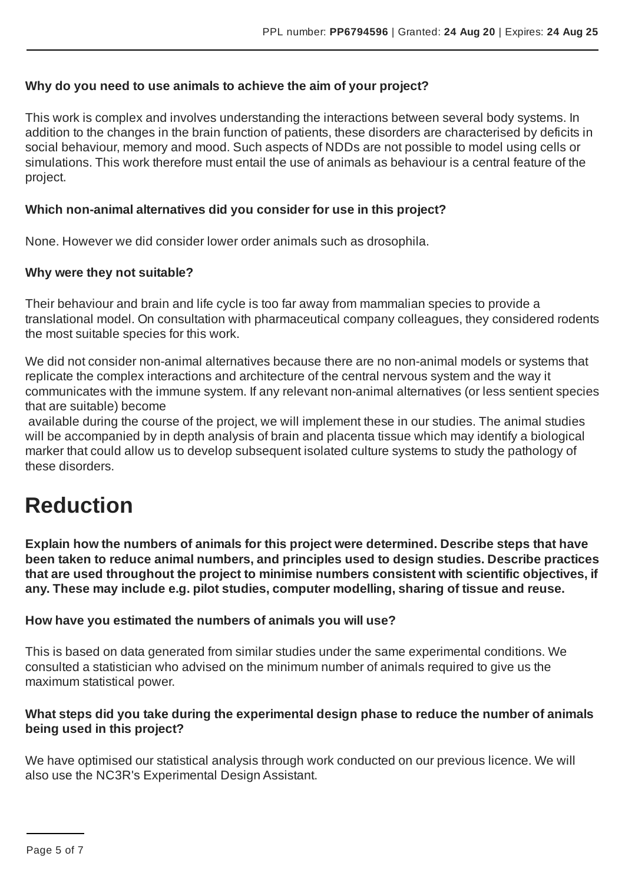## **Why do you need to use animals to achieve the aim of your project?**

This work is complex and involves understanding the interactions between several body systems. In addition to the changes in the brain function of patients, these disorders are characterised by deficits in social behaviour, memory and mood. Such aspects of NDDs are not possible to model using cells or simulations. This work therefore must entail the use of animals as behaviour is a central feature of the project.

## **Which non-animal alternatives did you consider for use in this project?**

None. However we did consider lower order animals such as drosophila.

#### **Why were they not suitable?**

Their behaviour and brain and life cycle is too far away from mammalian species to provide a translational model. On consultation with pharmaceutical company colleagues, they considered rodents the most suitable species for this work.

We did not consider non-animal alternatives because there are no non-animal models or systems that replicate the complex interactions and architecture of the central nervous system and the way it communicates with the immune system. If any relevant non-animal alternatives (or less sentient species that are suitable) become

available during the course of the project, we will implement these in our studies. The animal studies will be accompanied by in depth analysis of brain and placenta tissue which may identify a biological marker that could allow us to develop subsequent isolated culture systems to study the pathology of these disorders.

## **Reduction**

**Explain how the numbers of animals for this project were determined. Describe steps that have been taken to reduce animal numbers, and principles used to design studies. Describe practices that are used throughout the project to minimise numbers consistent with scientific objectives, if any. These may include e.g. pilot studies, computer modelling, sharing of tissue and reuse.**

#### **How have you estimated the numbers of animals you will use?**

This is based on data generated from similar studies under the same experimental conditions. We consulted a statistician who advised on the minimum number of animals required to give us the maximum statistical power.

### **What steps did you take during the experimental design phase to reduce the number of animals being used in this project?**

We have optimised our statistical analysis through work conducted on our previous licence. We will also use the NC3R's Experimental Design Assistant.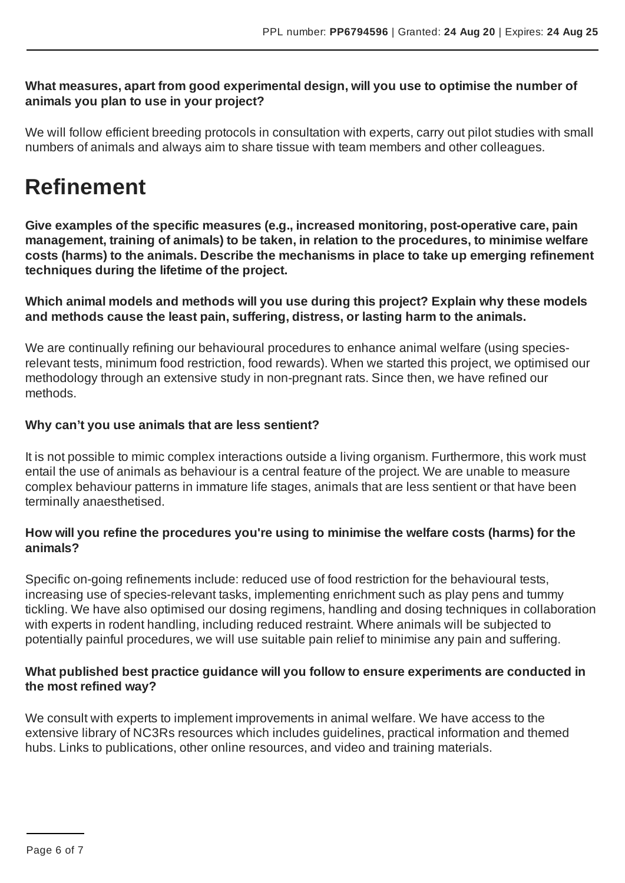### **What measures, apart from good experimental design, will you use to optimise the number of animals you plan to use in your project?**

We will follow efficient breeding protocols in consultation with experts, carry out pilot studies with small numbers of animals and always aim to share tissue with team members and other colleagues.

## **Refinement**

**Give examples of the specific measures (e.g., increased monitoring, post-operative care, pain management, training of animals) to be taken, in relation to the procedures, to minimise welfare costs (harms) to the animals. Describe the mechanisms in place to take up emerging refinement techniques during the lifetime of the project.**

**Which animal models and methods will you use during this project? Explain why these models and methods cause the least pain, suffering, distress, or lasting harm to the animals.**

We are continually refining our behavioural procedures to enhance animal welfare (using speciesrelevant tests, minimum food restriction, food rewards). When we started this project, we optimised our methodology through an extensive study in non-pregnant rats. Since then, we have refined our methods.

## **Why can't you use animals that are less sentient?**

It is not possible to mimic complex interactions outside a living organism. Furthermore, this work must entail the use of animals as behaviour is a central feature of the project. We are unable to measure complex behaviour patterns in immature life stages, animals that are less sentient or that have been terminally anaesthetised.

## **How will you refine the procedures you're using to minimise the welfare costs (harms) for the animals?**

Specific on-going refinements include: reduced use of food restriction for the behavioural tests, increasing use of species-relevant tasks, implementing enrichment such as play pens and tummy tickling. We have also optimised our dosing regimens, handling and dosing techniques in collaboration with experts in rodent handling, including reduced restraint. Where animals will be subjected to potentially painful procedures, we will use suitable pain relief to minimise any pain and suffering.

## **What published best practice guidance will you follow to ensure experiments are conducted in the most refined way?**

We consult with experts to implement improvements in animal welfare. We have access to the extensive library of NC3Rs resources which includes guidelines, practical information and themed hubs. Links to publications, other online resources, and video and training materials.

Page 6 of 7